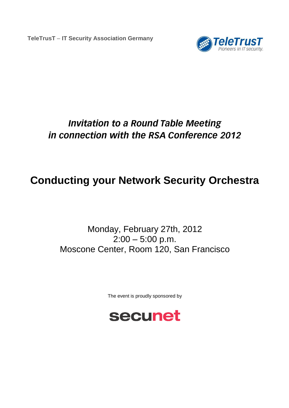**TeleTrusT** – **IT Security Association Germany**



## **Invitation to a Round Table Meeting** in connection with the RSA Conference 2012

## **Conducting your Network Security Orchestra**

Monday, February 27th, 2012  $2:00 - 5:00$  p.m. Moscone Center, Room 120, San Francisco

The event is proudly sponsored by